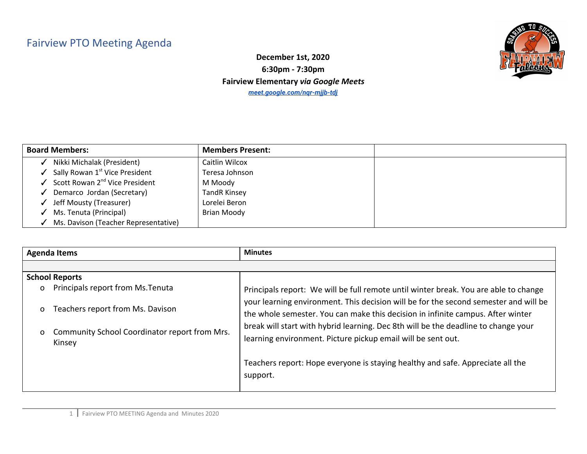## Fairview PTO Meeting Agenda



**December 1st, 2020 6:30pm - 7:30pm Fairview Elementary** *via Google Meets [meet.google.com/nqr-mjjb-tdj](http://meet.google.com/nqr-mjjb-tdj)*

| <b>Board Members:</b>                      | <b>Members Present:</b> |  |
|--------------------------------------------|-------------------------|--|
| Nikki Michalak (President)                 | Caitlin Wilcox          |  |
| Sally Rowan 1 <sup>st</sup> Vice President | Teresa Johnson          |  |
| Scott Rowan 2 <sup>nd</sup> Vice President | M Moody                 |  |
| Demarco Jordan (Secretary)                 | <b>TandR Kinsey</b>     |  |
| Jeff Mousty (Treasurer)                    | Lorelei Beron           |  |
| Ms. Tenuta (Principal)                     | Brian Moody             |  |
| Ms. Davison (Teacher Representative)       |                         |  |

|              | <b>Agenda Items</b>                                     | <b>Minutes</b>                                                                                                                                                          |
|--------------|---------------------------------------------------------|-------------------------------------------------------------------------------------------------------------------------------------------------------------------------|
|              |                                                         |                                                                                                                                                                         |
|              | <b>School Reports</b>                                   |                                                                                                                                                                         |
| O            | Principals report from Ms. Tenuta                       | Principals report: We will be full remote until winter break. You are able to change                                                                                    |
| $\mathsf{o}$ | Teachers report from Ms. Davison                        | your learning environment. This decision will be for the second semester and will be<br>the whole semester. You can make this decision in infinite campus. After winter |
| O            | Community School Coordinator report from Mrs.<br>Kinsey | break will start with hybrid learning. Dec 8th will be the deadline to change your<br>learning environment. Picture pickup email will be sent out.                      |
|              |                                                         | Teachers report: Hope everyone is staying healthy and safe. Appreciate all the<br>support.                                                                              |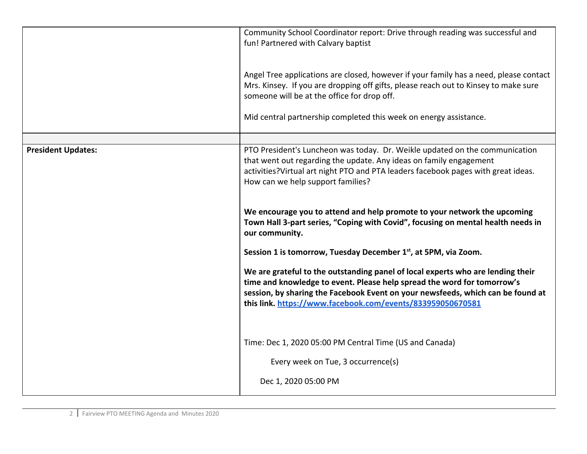|                           | Community School Coordinator report: Drive through reading was successful and<br>fun! Partnered with Calvary baptist                                                                                                                                                                                                                                                                                                                                                                                                                                                                                                                                                                                                                                                                           |
|---------------------------|------------------------------------------------------------------------------------------------------------------------------------------------------------------------------------------------------------------------------------------------------------------------------------------------------------------------------------------------------------------------------------------------------------------------------------------------------------------------------------------------------------------------------------------------------------------------------------------------------------------------------------------------------------------------------------------------------------------------------------------------------------------------------------------------|
|                           | Angel Tree applications are closed, however if your family has a need, please contact<br>Mrs. Kinsey. If you are dropping off gifts, please reach out to Kinsey to make sure<br>someone will be at the office for drop off.                                                                                                                                                                                                                                                                                                                                                                                                                                                                                                                                                                    |
|                           | Mid central partnership completed this week on energy assistance.                                                                                                                                                                                                                                                                                                                                                                                                                                                                                                                                                                                                                                                                                                                              |
| <b>President Updates:</b> | PTO President's Luncheon was today. Dr. Weikle updated on the communication<br>that went out regarding the update. Any ideas on family engagement<br>activities? Virtual art night PTO and PTA leaders facebook pages with great ideas.<br>How can we help support families?<br>We encourage you to attend and help promote to your network the upcoming<br>Town Hall 3-part series, "Coping with Covid", focusing on mental health needs in<br>our community.<br>Session 1 is tomorrow, Tuesday December 1 <sup>st</sup> , at 5PM, via Zoom.<br>We are grateful to the outstanding panel of local experts who are lending their<br>time and knowledge to event. Please help spread the word for tomorrow's<br>session, by sharing the Facebook Event on your newsfeeds, which can be found at |
|                           | this link. https://www.facebook.com/events/833959050670581<br>Time: Dec 1, 2020 05:00 PM Central Time (US and Canada)<br>Every week on Tue, 3 occurrence(s)<br>Dec 1, 2020 05:00 PM                                                                                                                                                                                                                                                                                                                                                                                                                                                                                                                                                                                                            |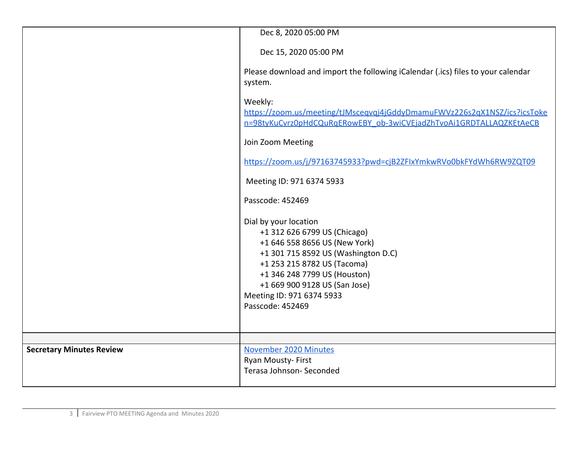|                                 | Dec 8, 2020 05:00 PM                                                                                                                                                                                                                                                           |
|---------------------------------|--------------------------------------------------------------------------------------------------------------------------------------------------------------------------------------------------------------------------------------------------------------------------------|
|                                 | Dec 15, 2020 05:00 PM                                                                                                                                                                                                                                                          |
| system.                         | Please download and import the following iCalendar (.ics) files to your calendar                                                                                                                                                                                               |
| Weekly:                         | https://zoom.us/meeting/tJMsceqvqj4jGddyDmamuFWVz226s2qX1NSZ/ics?icsToke<br>n=98tyKuCvrz0pHdCQuRqERowEBY_ob-3wiCVEjadZhTvoAi1GRDTALLAQZKEtAeCB                                                                                                                                 |
|                                 | Join Zoom Meeting                                                                                                                                                                                                                                                              |
|                                 | https://zoom.us/j/97163745933?pwd=cjB2ZFlxYmkwRVo0bkFYdWh6RW9ZQT09                                                                                                                                                                                                             |
|                                 | Meeting ID: 971 6374 5933                                                                                                                                                                                                                                                      |
|                                 | Passcode: 452469                                                                                                                                                                                                                                                               |
|                                 | Dial by your location<br>+1 312 626 6799 US (Chicago)<br>+1 646 558 8656 US (New York)<br>+1 301 715 8592 US (Washington D.C)<br>+1 253 215 8782 US (Tacoma)<br>+1 346 248 7799 US (Houston)<br>+1 669 900 9128 US (San Jose)<br>Meeting ID: 971 6374 5933<br>Passcode: 452469 |
|                                 |                                                                                                                                                                                                                                                                                |
| <b>Secretary Minutes Review</b> | November 2020 Minutes<br>Ryan Mousty-First<br>Terasa Johnson- Seconded                                                                                                                                                                                                         |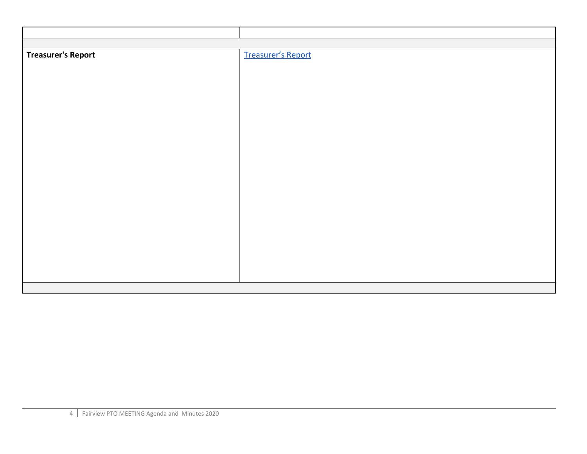| <b>Treasurer's Report</b> | <b>Treasurer's Report</b> |
|---------------------------|---------------------------|
|                           |                           |
|                           |                           |
|                           |                           |
|                           |                           |
|                           |                           |
|                           |                           |
|                           |                           |
|                           |                           |
|                           |                           |
|                           |                           |
|                           |                           |
|                           |                           |
|                           |                           |
|                           |                           |
|                           |                           |
|                           |                           |
|                           |                           |
|                           |                           |
|                           |                           |
|                           |                           |
|                           |                           |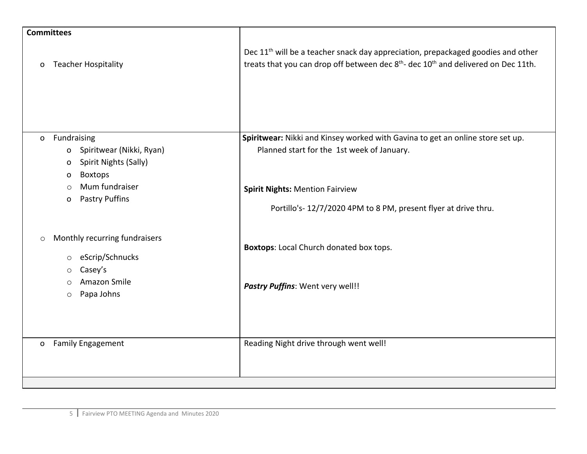| <b>Committees</b> |                                                                                                                        |                                                                                                                                                                                                            |
|-------------------|------------------------------------------------------------------------------------------------------------------------|------------------------------------------------------------------------------------------------------------------------------------------------------------------------------------------------------------|
| O                 | <b>Teacher Hospitality</b>                                                                                             | Dec 11 <sup>th</sup> will be a teacher snack day appreciation, prepackaged goodies and other<br>treats that you can drop off between dec 8 <sup>th</sup> - dec 10 <sup>th</sup> and delivered on Dec 11th. |
| $\mathsf{o}$      | Fundraising<br>Spiritwear (Nikki, Ryan)<br>$\mathbf{o}$<br>Spirit Nights (Sally)<br>$\mathbf 0$<br><b>Boxtops</b><br>O | Spiritwear: Nikki and Kinsey worked with Gavina to get an online store set up.<br>Planned start for the 1st week of January.                                                                               |
|                   | Mum fundraiser<br>$\bigcirc$<br><b>Pastry Puffins</b><br>O                                                             | <b>Spirit Nights: Mention Fairview</b><br>Portillo's-12/7/2020 4PM to 8 PM, present flyer at drive thru.                                                                                                   |
| $\circ$           | Monthly recurring fundraisers<br>eScrip/Schnucks<br>$\circ$<br>Casey's<br>$\circ$                                      | <b>Boxtops:</b> Local Church donated box tops.                                                                                                                                                             |
|                   | Amazon Smile<br>O<br>Papa Johns<br>$\circ$                                                                             | Pastry Puffins: Went very well!!                                                                                                                                                                           |
| $\mathbf{O}$      | <b>Family Engagement</b>                                                                                               | Reading Night drive through went well!                                                                                                                                                                     |